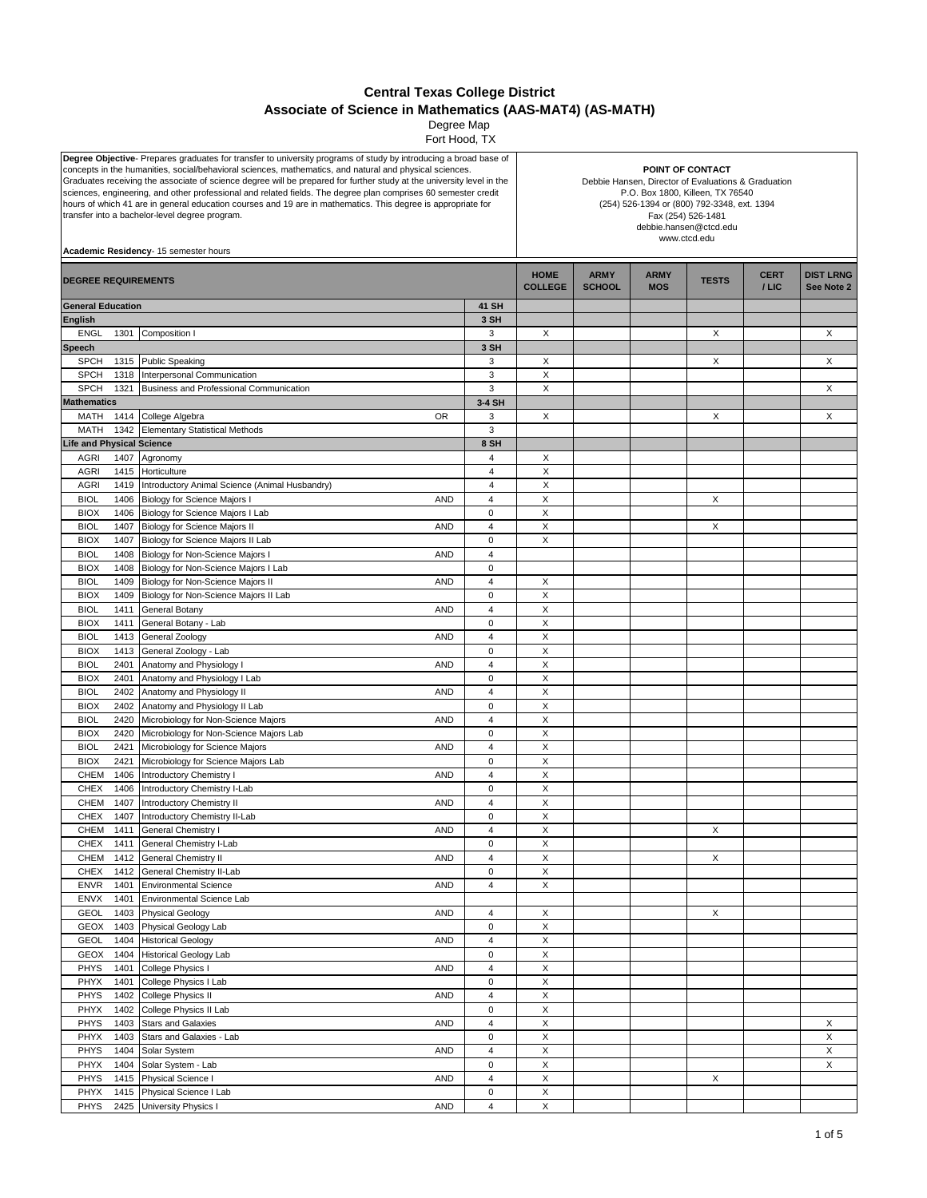## **Central Texas College District Associate of Science in Mathematics (AAS-MAT4) (AS-MATH)**

 Fort Hood, TX Degree Map

| Degree Objective- Prepares graduates for transfer to university programs of study by introducing a broad base of<br>concepts in the humanities, social/behavioral sciences, mathematics, and natural and physical sciences.<br>Graduates receiving the associate of science degree will be prepared for further study at the university level in the<br>sciences, engineering, and other professional and related fields. The degree plan comprises 60 semester credit<br>hours of which 41 are in general education courses and 19 are in mathematics. This degree is appropriate for<br>transfer into a bachelor-level degree program.<br>Academic Residency- 15 semester hours |              |                                                                                    |                               | POINT OF CONTACT<br>Debbie Hansen, Director of Evaluations & Graduation<br>P.O. Box 1800, Killeen, TX 76540<br>(254) 526-1394 or (800) 792-3348, ext. 1394<br>Fax (254) 526-1481<br>debbie.hansen@ctcd.edu<br>www.ctcd.edu |                           |              |                        |                                |        |
|-----------------------------------------------------------------------------------------------------------------------------------------------------------------------------------------------------------------------------------------------------------------------------------------------------------------------------------------------------------------------------------------------------------------------------------------------------------------------------------------------------------------------------------------------------------------------------------------------------------------------------------------------------------------------------------|--------------|------------------------------------------------------------------------------------|-------------------------------|----------------------------------------------------------------------------------------------------------------------------------------------------------------------------------------------------------------------------|---------------------------|--------------|------------------------|--------------------------------|--------|
| <b>DEGREE REQUIREMENTS</b>                                                                                                                                                                                                                                                                                                                                                                                                                                                                                                                                                                                                                                                        |              |                                                                                    | <b>HOME</b><br><b>COLLEGE</b> | <b>ARMY</b><br><b>SCHOOL</b>                                                                                                                                                                                               | <b>ARMY</b><br><b>MOS</b> | <b>TESTS</b> | <b>CERT</b><br>$/$ LIC | <b>DIST LRNG</b><br>See Note 2 |        |
| <b>General Education</b>                                                                                                                                                                                                                                                                                                                                                                                                                                                                                                                                                                                                                                                          |              |                                                                                    | 41 SH                         |                                                                                                                                                                                                                            |                           |              |                        |                                |        |
| <b>English</b>                                                                                                                                                                                                                                                                                                                                                                                                                                                                                                                                                                                                                                                                    |              |                                                                                    | 3 SH                          |                                                                                                                                                                                                                            |                           |              |                        |                                |        |
| <b>ENGL</b>                                                                                                                                                                                                                                                                                                                                                                                                                                                                                                                                                                                                                                                                       | 1301         | Composition I                                                                      | 3                             | X                                                                                                                                                                                                                          |                           |              | X                      |                                | X      |
| <b>Speech</b>                                                                                                                                                                                                                                                                                                                                                                                                                                                                                                                                                                                                                                                                     |              |                                                                                    | 3 SH                          |                                                                                                                                                                                                                            |                           |              |                        |                                |        |
| <b>SPCH</b>                                                                                                                                                                                                                                                                                                                                                                                                                                                                                                                                                                                                                                                                       | 1315         | Public Speaking                                                                    | 3                             | X                                                                                                                                                                                                                          |                           |              | х                      |                                | X      |
| <b>SPCH</b>                                                                                                                                                                                                                                                                                                                                                                                                                                                                                                                                                                                                                                                                       | 1318         | Interpersonal Communication                                                        | 3                             | Χ                                                                                                                                                                                                                          |                           |              |                        |                                |        |
| <b>SPCH</b><br><b>Mathematics</b>                                                                                                                                                                                                                                                                                                                                                                                                                                                                                                                                                                                                                                                 | 1321         | Business and Professional Communication                                            | 3<br>3-4 SH                   | X                                                                                                                                                                                                                          |                           |              |                        |                                | X      |
| MATH                                                                                                                                                                                                                                                                                                                                                                                                                                                                                                                                                                                                                                                                              | 1414         | <b>OR</b><br>College Algebra                                                       | 3                             | X                                                                                                                                                                                                                          |                           |              | X                      |                                | X      |
| MATH                                                                                                                                                                                                                                                                                                                                                                                                                                                                                                                                                                                                                                                                              |              | 1342 Elementary Statistical Methods                                                | 3                             |                                                                                                                                                                                                                            |                           |              |                        |                                |        |
| <b>Life and Physical Science</b>                                                                                                                                                                                                                                                                                                                                                                                                                                                                                                                                                                                                                                                  |              |                                                                                    | 8 SH                          |                                                                                                                                                                                                                            |                           |              |                        |                                |        |
| <b>AGRI</b>                                                                                                                                                                                                                                                                                                                                                                                                                                                                                                                                                                                                                                                                       |              | 1407 Agronomy                                                                      | $\overline{4}$                | X                                                                                                                                                                                                                          |                           |              |                        |                                |        |
| <b>AGRI</b>                                                                                                                                                                                                                                                                                                                                                                                                                                                                                                                                                                                                                                                                       | 1415         | Horticulture                                                                       | $\overline{4}$                | X                                                                                                                                                                                                                          |                           |              |                        |                                |        |
| <b>AGRI</b>                                                                                                                                                                                                                                                                                                                                                                                                                                                                                                                                                                                                                                                                       | 1419         | Introductory Animal Science (Animal Husbandry)                                     | $\overline{4}$                | $\times$                                                                                                                                                                                                                   |                           |              |                        |                                |        |
| <b>BIOL</b>                                                                                                                                                                                                                                                                                                                                                                                                                                                                                                                                                                                                                                                                       | 1406         | Biology for Science Majors I<br>AND                                                | $\overline{4}$                | $\mathsf X$                                                                                                                                                                                                                |                           |              | X                      |                                |        |
| <b>BIOX</b>                                                                                                                                                                                                                                                                                                                                                                                                                                                                                                                                                                                                                                                                       | 1406         | Biology for Science Majors I Lab                                                   | 0                             | X                                                                                                                                                                                                                          |                           |              |                        |                                |        |
| <b>BIOL</b>                                                                                                                                                                                                                                                                                                                                                                                                                                                                                                                                                                                                                                                                       | 1407         | Biology for Science Majors II<br><b>AND</b>                                        | $\overline{4}$                | X                                                                                                                                                                                                                          |                           |              | X                      |                                |        |
| <b>BIOX</b><br><b>BIOL</b>                                                                                                                                                                                                                                                                                                                                                                                                                                                                                                                                                                                                                                                        | 1407<br>1408 | Biology for Science Majors II Lab<br>AND                                           | 0<br>$\overline{4}$           | X                                                                                                                                                                                                                          |                           |              |                        |                                |        |
| <b>BIOX</b>                                                                                                                                                                                                                                                                                                                                                                                                                                                                                                                                                                                                                                                                       | 1408         | Biology for Non-Science Majors I<br>Biology for Non-Science Majors I Lab           | $\mathbf 0$                   |                                                                                                                                                                                                                            |                           |              |                        |                                |        |
| <b>BIOL</b>                                                                                                                                                                                                                                                                                                                                                                                                                                                                                                                                                                                                                                                                       | 1409         | <b>AND</b><br>Biology for Non-Science Majors II                                    | $\overline{\mathbf{4}}$       | X                                                                                                                                                                                                                          |                           |              |                        |                                |        |
| <b>BIOX</b>                                                                                                                                                                                                                                                                                                                                                                                                                                                                                                                                                                                                                                                                       | 1409         | Biology for Non-Science Majors II Lab                                              | $\mathbf 0$                   | X                                                                                                                                                                                                                          |                           |              |                        |                                |        |
| <b>BIOL</b>                                                                                                                                                                                                                                                                                                                                                                                                                                                                                                                                                                                                                                                                       | 1411         | General Botany<br><b>AND</b>                                                       | $\overline{4}$                | X                                                                                                                                                                                                                          |                           |              |                        |                                |        |
| <b>BIOX</b>                                                                                                                                                                                                                                                                                                                                                                                                                                                                                                                                                                                                                                                                       | 1411         | General Botany - Lab                                                               | $\mathbf 0$                   | X                                                                                                                                                                                                                          |                           |              |                        |                                |        |
| <b>BIOL</b>                                                                                                                                                                                                                                                                                                                                                                                                                                                                                                                                                                                                                                                                       | 1413         | General Zoology<br><b>AND</b>                                                      | $\overline{4}$                | X                                                                                                                                                                                                                          |                           |              |                        |                                |        |
| <b>BIOX</b>                                                                                                                                                                                                                                                                                                                                                                                                                                                                                                                                                                                                                                                                       | 1413         | General Zoology - Lab                                                              | $\mathsf 0$                   | X                                                                                                                                                                                                                          |                           |              |                        |                                |        |
| <b>BIOL</b>                                                                                                                                                                                                                                                                                                                                                                                                                                                                                                                                                                                                                                                                       | 2401         | <b>AND</b><br>Anatomy and Physiology I                                             | $\overline{4}$                | X                                                                                                                                                                                                                          |                           |              |                        |                                |        |
| <b>BIOX</b>                                                                                                                                                                                                                                                                                                                                                                                                                                                                                                                                                                                                                                                                       | 2401         | Anatomy and Physiology I Lab                                                       | 0                             | X                                                                                                                                                                                                                          |                           |              |                        |                                |        |
| <b>BIOL</b>                                                                                                                                                                                                                                                                                                                                                                                                                                                                                                                                                                                                                                                                       | 2402         | Anatomy and Physiology II<br><b>AND</b>                                            | $\overline{4}$                | X                                                                                                                                                                                                                          |                           |              |                        |                                |        |
| <b>BIOX</b><br><b>BIOL</b>                                                                                                                                                                                                                                                                                                                                                                                                                                                                                                                                                                                                                                                        | 2402<br>2420 | Anatomy and Physiology II Lab<br><b>AND</b><br>Microbiology for Non-Science Majors | $\mathbf 0$<br>$\overline{4}$ | X<br>$\boldsymbol{\mathsf{X}}$                                                                                                                                                                                             |                           |              |                        |                                |        |
| <b>BIOX</b>                                                                                                                                                                                                                                                                                                                                                                                                                                                                                                                                                                                                                                                                       | 2420         | Microbiology for Non-Science Majors Lab                                            | $\pmb{0}$                     | $\mathsf X$                                                                                                                                                                                                                |                           |              |                        |                                |        |
| <b>BIOL</b>                                                                                                                                                                                                                                                                                                                                                                                                                                                                                                                                                                                                                                                                       | 2421         | Microbiology for Science Majors<br>AND                                             | $\overline{4}$                | X                                                                                                                                                                                                                          |                           |              |                        |                                |        |
| <b>BIOX</b>                                                                                                                                                                                                                                                                                                                                                                                                                                                                                                                                                                                                                                                                       | 2421         | Microbiology for Science Majors Lab                                                | 0                             | X                                                                                                                                                                                                                          |                           |              |                        |                                |        |
| CHEM                                                                                                                                                                                                                                                                                                                                                                                                                                                                                                                                                                                                                                                                              | 1406         | <b>Introductory Chemistry I</b><br><b>AND</b>                                      | $\overline{4}$                | X                                                                                                                                                                                                                          |                           |              |                        |                                |        |
| <b>CHEX</b>                                                                                                                                                                                                                                                                                                                                                                                                                                                                                                                                                                                                                                                                       | 1406         | Introductory Chemistry I-Lab                                                       | $\mathsf 0$                   | X                                                                                                                                                                                                                          |                           |              |                        |                                |        |
| CHEM                                                                                                                                                                                                                                                                                                                                                                                                                                                                                                                                                                                                                                                                              | 1407         | Introductory Chemistry II<br>AND                                                   | $\overline{4}$                | X                                                                                                                                                                                                                          |                           |              |                        |                                |        |
| <b>CHEX</b>                                                                                                                                                                                                                                                                                                                                                                                                                                                                                                                                                                                                                                                                       | 1407         | Introductory Chemistry II-Lab                                                      | 0                             | X                                                                                                                                                                                                                          |                           |              |                        |                                |        |
| CHEM                                                                                                                                                                                                                                                                                                                                                                                                                                                                                                                                                                                                                                                                              |              | 1411 General Chemistry I<br>AND                                                    | 4                             | X                                                                                                                                                                                                                          |                           |              | х                      |                                |        |
| CHEX<br>CHEM                                                                                                                                                                                                                                                                                                                                                                                                                                                                                                                                                                                                                                                                      | 1411<br>1412 | General Chemistry I-Lab<br><b>General Chemistry II</b><br>AND                      | 0<br>4                        | X<br>X                                                                                                                                                                                                                     |                           |              | Χ                      |                                |        |
| <b>CHEX</b>                                                                                                                                                                                                                                                                                                                                                                                                                                                                                                                                                                                                                                                                       | 1412         | General Chemistry II-Lab                                                           | $\mathsf{O}\xspace$           | Χ                                                                                                                                                                                                                          |                           |              |                        |                                |        |
| <b>ENVR</b>                                                                                                                                                                                                                                                                                                                                                                                                                                                                                                                                                                                                                                                                       | 1401         | <b>Environmental Science</b><br>AND                                                | $\overline{\mathbf{4}}$       | $\mathsf X$                                                                                                                                                                                                                |                           |              |                        |                                |        |
| <b>ENVX</b>                                                                                                                                                                                                                                                                                                                                                                                                                                                                                                                                                                                                                                                                       | 1401         | Environmental Science Lab                                                          |                               |                                                                                                                                                                                                                            |                           |              |                        |                                |        |
| GEOL                                                                                                                                                                                                                                                                                                                                                                                                                                                                                                                                                                                                                                                                              | 1403         | <b>Physical Geology</b><br>AND                                                     | 4                             | X                                                                                                                                                                                                                          |                           |              | X                      |                                |        |
| <b>GEOX</b>                                                                                                                                                                                                                                                                                                                                                                                                                                                                                                                                                                                                                                                                       | 1403         | Physical Geology Lab                                                               | $\mathsf 0$                   | $\mathsf X$                                                                                                                                                                                                                |                           |              |                        |                                |        |
| GEOL                                                                                                                                                                                                                                                                                                                                                                                                                                                                                                                                                                                                                                                                              | 1404         | <b>Historical Geology</b><br><b>AND</b>                                            | 4                             | Χ                                                                                                                                                                                                                          |                           |              |                        |                                |        |
| <b>GEOX</b>                                                                                                                                                                                                                                                                                                                                                                                                                                                                                                                                                                                                                                                                       | 1404         | <b>Historical Geology Lab</b>                                                      | $\mathbf 0$                   | $\mathsf X$                                                                                                                                                                                                                |                           |              |                        |                                |        |
| PHYS                                                                                                                                                                                                                                                                                                                                                                                                                                                                                                                                                                                                                                                                              | 1401         | College Physics I<br><b>AND</b>                                                    | $\overline{4}$                | Χ                                                                                                                                                                                                                          |                           |              |                        |                                |        |
| PHYX                                                                                                                                                                                                                                                                                                                                                                                                                                                                                                                                                                                                                                                                              | 1401         | College Physics I Lab                                                              | $\mathsf 0$                   | $\mathsf X$                                                                                                                                                                                                                |                           |              |                        |                                |        |
| PHYS                                                                                                                                                                                                                                                                                                                                                                                                                                                                                                                                                                                                                                                                              | 1402         | College Physics II<br>AND                                                          | $\overline{4}$                | $\mathsf X$                                                                                                                                                                                                                |                           |              |                        |                                |        |
| PHYX<br>PHYS                                                                                                                                                                                                                                                                                                                                                                                                                                                                                                                                                                                                                                                                      | 1402<br>1403 | College Physics II Lab<br><b>Stars and Galaxies</b>                                | $\mathsf 0$<br>$\pmb{4}$      | $\mathsf X$<br>$\pmb{\mathsf{X}}$                                                                                                                                                                                          |                           |              |                        |                                |        |
| PHYX                                                                                                                                                                                                                                                                                                                                                                                                                                                                                                                                                                                                                                                                              | 1403         | AND<br>Stars and Galaxies - Lab                                                    | 0                             | X                                                                                                                                                                                                                          |                           |              |                        |                                | X<br>X |
| PHYS                                                                                                                                                                                                                                                                                                                                                                                                                                                                                                                                                                                                                                                                              | 1404         | Solar System<br>AND                                                                | $\overline{4}$                | $\pmb{\mathsf{X}}$                                                                                                                                                                                                         |                           |              |                        |                                | X      |
| PHYX                                                                                                                                                                                                                                                                                                                                                                                                                                                                                                                                                                                                                                                                              | 1404         | Solar System - Lab                                                                 | $\mathsf 0$                   | X                                                                                                                                                                                                                          |                           |              |                        |                                | X      |
| <b>PHYS</b>                                                                                                                                                                                                                                                                                                                                                                                                                                                                                                                                                                                                                                                                       | 1415         | Physical Science I<br>AND                                                          | $\overline{\mathbf{4}}$       | $\mathsf X$                                                                                                                                                                                                                |                           |              | X                      |                                |        |
| PHYX                                                                                                                                                                                                                                                                                                                                                                                                                                                                                                                                                                                                                                                                              | 1415         | Physical Science I Lab                                                             | $\mathbf 0$                   | Χ                                                                                                                                                                                                                          |                           |              |                        |                                |        |
| PHYS                                                                                                                                                                                                                                                                                                                                                                                                                                                                                                                                                                                                                                                                              | 2425         | University Physics I<br>AND                                                        | $\overline{4}$                | $\mathsf X$                                                                                                                                                                                                                |                           |              |                        |                                |        |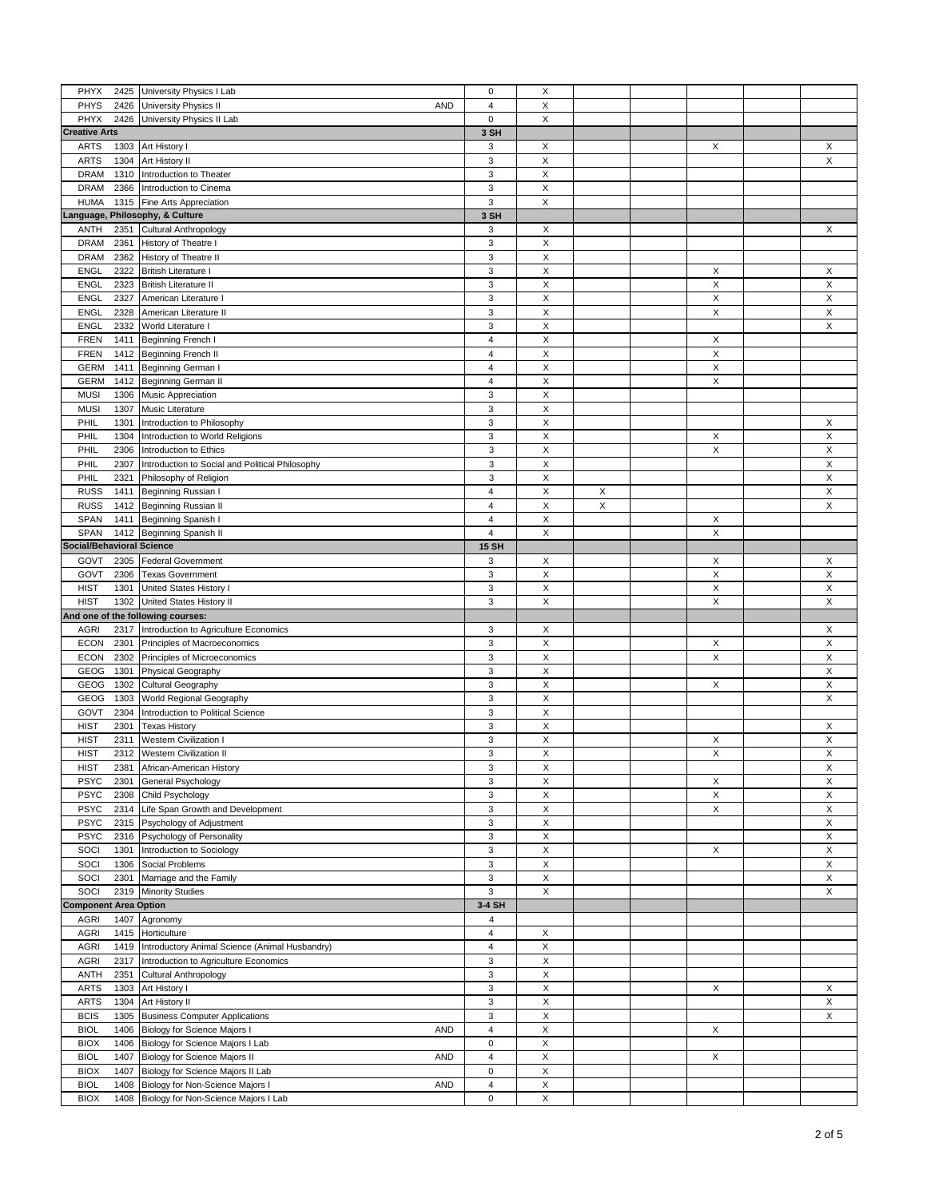| PHYX<br>2425                       | University Physics I Lab                                                                    | $\pmb{0}$                   | $\boldsymbol{\mathsf{X}}$ |   |             |   |
|------------------------------------|---------------------------------------------------------------------------------------------|-----------------------------|---------------------------|---|-------------|---|
| PHYS<br>2426                       | University Physics II<br>AND                                                                | $\overline{4}$              | X                         |   |             |   |
| PHYX<br>2426                       | University Physics II Lab                                                                   | $\pmb{0}$                   | X                         |   |             |   |
| <b>Creative Arts</b>               |                                                                                             | 3 SH                        |                           |   |             |   |
| <b>ARTS</b><br>1303                | Art History I                                                                               | 3                           | Х                         |   | X           | X |
| <b>ARTS</b><br>1304                | Art History II                                                                              | 3                           | X                         |   |             | X |
| 1310<br><b>DRAM</b>                | Introduction to Theater                                                                     | 3                           | X                         |   |             |   |
| <b>DRAM</b>                        |                                                                                             | 3                           | $\mathsf X$               |   |             |   |
| 2366                               | Introduction to Cinema                                                                      | 3                           |                           |   |             |   |
| <b>HUMA</b><br>1315                | Fine Arts Appreciation                                                                      |                             | Χ                         |   |             |   |
| Language, Philosophy, & Culture    |                                                                                             | 3 SH                        |                           |   |             |   |
| ANTH<br>2351                       | Cultural Anthropology                                                                       | 3                           | X                         |   |             | X |
| <b>DRAM</b><br>2361                | History of Theatre I                                                                        | 3                           | $\mathsf X$               |   |             |   |
| <b>DRAM</b><br>2362                | History of Theatre II                                                                       | 3                           | X                         |   |             |   |
| <b>ENGL</b><br>2322                | <b>British Literature I</b>                                                                 | 3                           | $\mathsf X$               |   | X           | X |
| <b>ENGL</b><br>2323                | <b>British Literature II</b>                                                                | 3                           | Χ                         |   | X           | X |
| <b>ENGL</b><br>2327                | American Literature I                                                                       | 3                           | X                         |   | X           | X |
| <b>ENGL</b><br>2328                | American Literature II                                                                      | 3                           | Χ                         |   | X           | Χ |
| <b>ENGL</b><br>2332                | World Literature I                                                                          | $\mathsf 3$                 | X                         |   |             | X |
| <b>FREN</b><br>1411                | Beginning French I                                                                          | $\overline{\mathbf{4}}$     | X                         |   | Х           |   |
| <b>FREN</b><br>1412                | <b>Beginning French II</b>                                                                  | $\sqrt{4}$                  | $\mathsf X$               |   | X           |   |
| <b>GERM</b><br>1411                | Beginning German I                                                                          | $\sqrt{4}$                  | $\mathsf X$               |   | X           |   |
| <b>GERM</b><br>1412                | Beginning German II                                                                         | $\overline{4}$              | $\mathsf X$               |   | X           |   |
| <b>MUSI</b><br>1306                | Music Appreciation                                                                          | 3                           | X                         |   |             |   |
| <b>MUSI</b><br>1307                | Music Literature                                                                            | 3                           | X                         |   |             |   |
| PHIL<br>1301                       |                                                                                             | 3                           | X                         |   |             | X |
|                                    | Introduction to Philosophy                                                                  |                             |                           |   |             |   |
| PHIL<br>1304                       | Introduction to World Religions                                                             | 3                           | $\mathsf X$               |   | X           | X |
| PHIL<br>2306                       | Introduction to Ethics                                                                      | 3                           | $\mathsf X$               |   | X           | Χ |
| PHIL<br>2307                       | Introduction to Social and Political Philosophy                                             | 3                           | $\mathsf X$               |   |             | X |
| PHIL<br>2321                       | Philosophy of Religion                                                                      | $\mathsf 3$                 | X                         |   |             | Χ |
| <b>RUSS</b><br>1411                | Beginning Russian I                                                                         | $\overline{4}$              | Χ                         | X |             | X |
| <b>RUSS</b><br>1412                | Beginning Russian II                                                                        | $\overline{4}$              | X                         | X |             | X |
| SPAN<br>1411                       | Beginning Spanish I                                                                         | $\overline{4}$              | $\mathsf X$               |   | X           |   |
| SPAN<br>1412                       | Beginning Spanish II                                                                        | $\overline{4}$              | $\mathsf X$               |   | X           |   |
| <b>Social/Behavioral Science</b>   |                                                                                             | <b>15 SH</b>                |                           |   |             |   |
| GOVT<br>2305                       | <b>Federal Government</b>                                                                   | 3                           | X                         |   | X           | X |
| GOVT<br>2306                       | <b>Texas Government</b>                                                                     | 3                           | X                         |   | X           | X |
| <b>HIST</b><br>1301                | United States History I                                                                     | 3                           | $\mathsf X$               |   | X           | X |
| <b>HIST</b><br>1302                | United States History II                                                                    | 3                           | Χ                         |   | X           | X |
|                                    |                                                                                             |                             |                           |   |             |   |
|                                    |                                                                                             |                             |                           |   |             |   |
|                                    | And one of the following courses:                                                           |                             |                           |   |             |   |
| <b>AGRI</b><br>2317                | Introduction to Agriculture Economics                                                       | 3                           | X                         |   |             | X |
| <b>ECON</b><br>2301                | Principles of Macroeconomics                                                                | 3                           | Χ                         |   | Х           | X |
| <b>ECON</b><br>2302                | Principles of Microeconomics                                                                | 3                           | X                         |   | X           | Χ |
| GEOG<br>1301                       | Physical Geography                                                                          | 3                           | X                         |   |             | X |
| GEOG<br>1302                       | Cultural Geography                                                                          | 3                           | $\mathsf X$               |   | X           | X |
| GEOG<br>1303                       | World Regional Geography                                                                    | 3                           | $\boldsymbol{\mathsf{X}}$ |   |             | X |
| GOVT<br>2304                       | Introduction to Political Science                                                           | 3                           | $\mathsf X$               |   |             |   |
| <b>HIST</b><br>2301                | <b>Texas History</b>                                                                        | 3                           | $\boldsymbol{\mathsf{X}}$ |   |             | X |
| <b>HIST</b><br>2311                | <b>Western Civilization I</b>                                                               | 3                           | X                         |   | X           | X |
| <b>HIST</b>                        | 2312 Western Civilization II                                                                | 3                           | X                         |   | $\times$    | X |
| <b>HIST</b><br>2381                | African-American History                                                                    | 3                           | X                         |   |             | X |
| <b>PSYC</b><br>2301                | General Psychology                                                                          | 3                           | $\pmb{\times}$            |   | X           | X |
| <b>PSYC</b><br>2308                | Child Psychology                                                                            | 3                           | $\mathsf X$               |   | $\mathsf X$ | X |
| <b>PSYC</b><br>2314                | Life Span Growth and Development                                                            | 3                           | X                         |   | X           | X |
|                                    |                                                                                             |                             |                           |   |             |   |
| <b>PSYC</b><br>2315                | Psychology of Adjustment                                                                    | 3                           | $\mathsf X$               |   |             | X |
| <b>PSYC</b><br>2316                | Psychology of Personality                                                                   | 3                           | X                         |   |             | X |
| SOCI<br>1301                       | Introduction to Sociology                                                                   | 3                           | $\mathsf X$               |   | X           | X |
| SOCI<br>1306                       | Social Problems                                                                             | 3                           | $\mathsf X$               |   |             | X |
| SOCI<br>2301                       | Marriage and the Family                                                                     | 3                           | $\mathsf X$               |   |             | X |
| SOCI<br>2319                       | <b>Minority Studies</b>                                                                     | 3                           | X                         |   |             | X |
| <b>Component Area Option</b>       |                                                                                             | 3-4 SH                      |                           |   |             |   |
| 1407<br><b>AGRI</b>                | Agronomy                                                                                    | 4                           |                           |   |             |   |
| <b>AGRI</b><br>1415                | Horticulture                                                                                | $\overline{4}$              | X                         |   |             |   |
| <b>AGRI</b><br>1419                | Introductory Animal Science (Animal Husbandry)                                              | $\pmb{4}$                   | $\mathsf X$               |   |             |   |
| <b>AGRI</b><br>2317                | Introduction to Agriculture Economics                                                       | 3                           | $\mathsf X$               |   |             |   |
| ANTH<br>2351                       | <b>Cultural Anthropology</b>                                                                | 3                           | X                         |   |             |   |
| <b>ARTS</b><br>1303                | Art History I                                                                               | 3                           | X                         |   | X           | X |
| <b>ARTS</b><br>1304                | Art History II                                                                              | 3                           | X                         |   |             | X |
| <b>BCIS</b><br>1305                |                                                                                             | 3                           | $\mathsf X$               |   |             | X |
|                                    | <b>Business Computer Applications</b>                                                       |                             |                           |   |             |   |
| <b>BIOL</b><br>1406                | <b>Biology for Science Majors I</b><br><b>AND</b>                                           | $\sqrt{4}$                  | $\mathsf X$               |   | X           |   |
| <b>BIOX</b><br>1406                | Biology for Science Majors I Lab                                                            | $\mathbf 0$                 | $\mathsf X$               |   |             |   |
| <b>BIOL</b><br>1407                | Biology for Science Majors II<br>AND                                                        | $\overline{4}$              | X                         |   | X           |   |
| <b>BIOX</b><br>1407                | Biology for Science Majors II Lab                                                           | $\pmb{0}$                   | $\boldsymbol{\mathsf{X}}$ |   |             |   |
| <b>BIOL</b><br>1408<br><b>BIOX</b> | Biology for Non-Science Majors I<br><b>AND</b><br>1408 Biology for Non-Science Majors I Lab | $\overline{4}$<br>$\pmb{0}$ | X<br>X                    |   |             |   |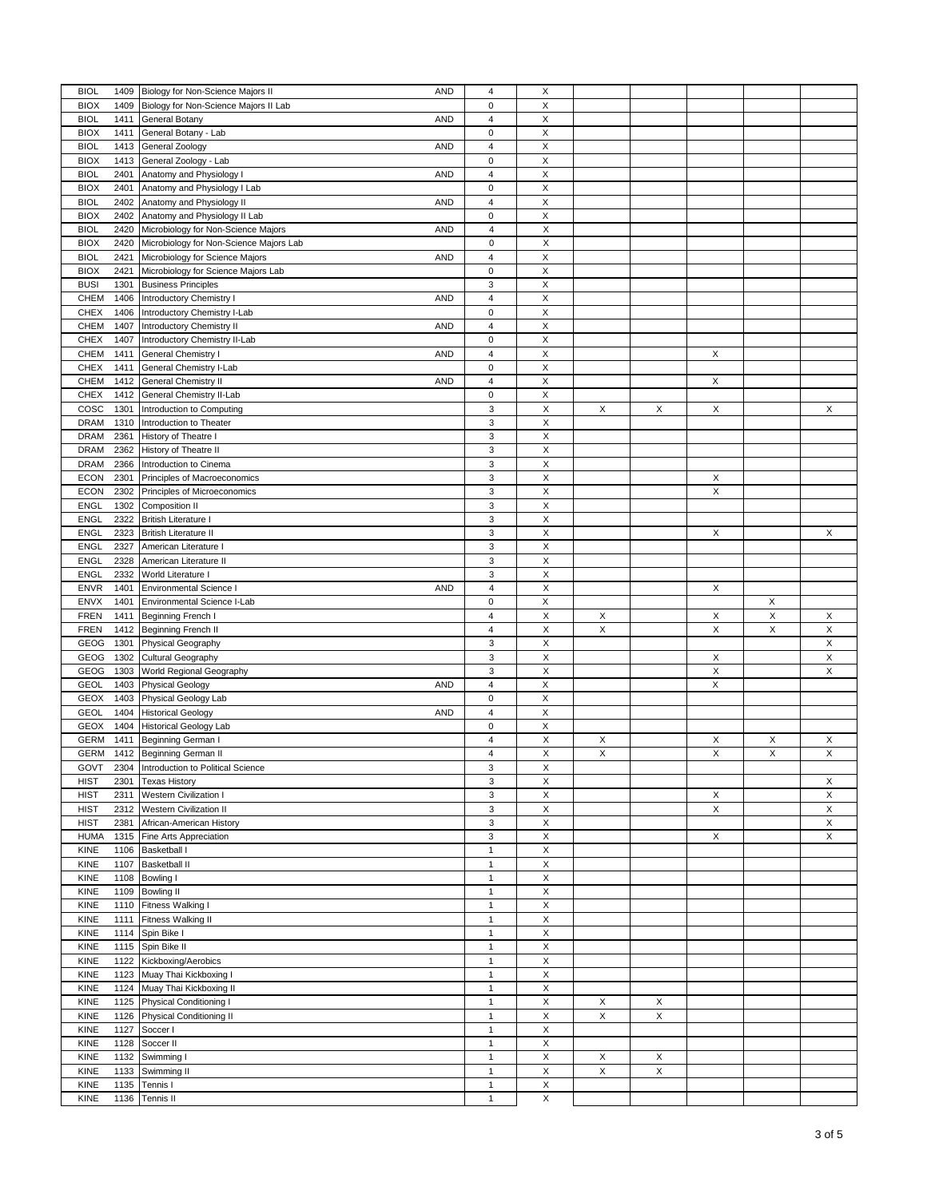| <b>BIOL</b>         | 1409 Biology for Non-Science Majors II<br>AND     | $\overline{4}$          | $\boldsymbol{\mathsf{X}}$ |   |   |                           |                           |   |
|---------------------|---------------------------------------------------|-------------------------|---------------------------|---|---|---------------------------|---------------------------|---|
| <b>BIOX</b><br>1409 | Biology for Non-Science Majors II Lab             | $\mathbf 0$             | X                         |   |   |                           |                           |   |
| <b>BIOL</b><br>1411 | General Botany<br><b>AND</b>                      | $\overline{4}$          | X                         |   |   |                           |                           |   |
|                     |                                                   |                         |                           |   |   |                           |                           |   |
| <b>BIOX</b><br>1411 | General Botany - Lab                              | $\mathbf 0$             | X                         |   |   |                           |                           |   |
| <b>BIOL</b><br>1413 | General Zoology<br><b>AND</b>                     | $\sqrt{4}$              | X                         |   |   |                           |                           |   |
| <b>BIOX</b><br>1413 | General Zoology - Lab                             | $\pmb{0}$               | $\mathsf X$               |   |   |                           |                           |   |
|                     |                                                   |                         |                           |   |   |                           |                           |   |
| <b>BIOL</b><br>2401 | Anatomy and Physiology I<br><b>AND</b>            | $\sqrt{4}$              | X                         |   |   |                           |                           |   |
| <b>BIOX</b><br>2401 | Anatomy and Physiology I Lab                      | $\pmb{0}$               | X                         |   |   |                           |                           |   |
|                     |                                                   |                         |                           |   |   |                           |                           |   |
| <b>BIOL</b><br>2402 | Anatomy and Physiology II<br><b>AND</b>           | $\overline{\mathbf{4}}$ | X                         |   |   |                           |                           |   |
| <b>BIOX</b><br>2402 | Anatomy and Physiology II Lab                     | $\pmb{0}$               | X                         |   |   |                           |                           |   |
| <b>BIOL</b><br>2420 | <b>AND</b><br>Microbiology for Non-Science Majors | $\sqrt{4}$              | X                         |   |   |                           |                           |   |
|                     |                                                   |                         |                           |   |   |                           |                           |   |
| <b>BIOX</b><br>2420 | Microbiology for Non-Science Majors Lab           | $\mathbf 0$             | X                         |   |   |                           |                           |   |
| <b>BIOL</b><br>2421 | Microbiology for Science Majors<br><b>AND</b>     | $\overline{4}$          | Χ                         |   |   |                           |                           |   |
|                     |                                                   |                         |                           |   |   |                           |                           |   |
| <b>BIOX</b><br>2421 | Microbiology for Science Majors Lab               | $\bf 0$                 | Χ                         |   |   |                           |                           |   |
| <b>BUSI</b><br>1301 | <b>Business Principles</b>                        | $\mathsf 3$             | X                         |   |   |                           |                           |   |
|                     |                                                   |                         |                           |   |   |                           |                           |   |
| <b>CHEM</b><br>1406 | Introductory Chemistry I<br><b>AND</b>            | $\overline{4}$          | X                         |   |   |                           |                           |   |
| CHEX<br>1406        | Introductory Chemistry I-Lab                      | $\pmb{0}$               | X                         |   |   |                           |                           |   |
| CHEM<br>1407        | Introductory Chemistry II<br><b>AND</b>           | $\sqrt{4}$              | X                         |   |   |                           |                           |   |
|                     |                                                   |                         |                           |   |   |                           |                           |   |
| <b>CHEX</b><br>1407 | Introductory Chemistry II-Lab                     | $\pmb{0}$               | $\mathsf X$               |   |   |                           |                           |   |
| CHEM<br>1411        | General Chemistry I<br><b>AND</b>                 | $\overline{4}$          | $\boldsymbol{\mathsf{X}}$ |   |   | X                         |                           |   |
|                     |                                                   |                         |                           |   |   |                           |                           |   |
| <b>CHEX</b><br>1411 | General Chemistry I-Lab                           | $\pmb{0}$               | $\boldsymbol{\mathsf{X}}$ |   |   |                           |                           |   |
| CHEM<br>1412        | General Chemistry II<br><b>AND</b>                | $\overline{4}$          | $\boldsymbol{\mathsf{X}}$ |   |   | X                         |                           |   |
| <b>CHEX</b><br>1412 | General Chemistry II-Lab                          | $\pmb{0}$               | $\mathsf X$               |   |   |                           |                           |   |
|                     |                                                   |                         |                           |   |   |                           |                           |   |
| COSC<br>1301        | Introduction to Computing                         | 3                       | $\boldsymbol{\mathsf{X}}$ | X | X | X                         |                           | X |
| <b>DRAM</b><br>1310 | Introduction to Theater                           | 3                       | $\mathsf X$               |   |   |                           |                           |   |
|                     |                                                   |                         |                           |   |   |                           |                           |   |
| <b>DRAM</b><br>2361 | History of Theatre I                              | 3                       | X                         |   |   |                           |                           |   |
| DRAM<br>2362        | History of Theatre II                             | 3                       | $\mathsf X$               |   |   |                           |                           |   |
| <b>DRAM</b><br>2366 | Introduction to Cinema                            | $\mathsf 3$             | X                         |   |   |                           |                           |   |
|                     |                                                   |                         |                           |   |   |                           |                           |   |
| <b>ECON</b><br>2301 | Principles of Macroeconomics                      | 3                       | $\mathsf X$               |   |   | X                         |                           |   |
| <b>ECON</b><br>2302 | Principles of Microeconomics                      | $\mathsf 3$             | $\mathsf X$               |   |   | X                         |                           |   |
|                     |                                                   |                         |                           |   |   |                           |                           |   |
| <b>ENGL</b><br>1302 | Composition II                                    | 3                       | $\mathsf X$               |   |   |                           |                           |   |
| <b>ENGL</b><br>2322 | <b>British Literature</b>                         | 3                       | X                         |   |   |                           |                           |   |
|                     |                                                   |                         |                           |   |   |                           |                           |   |
| <b>ENGL</b><br>2323 | <b>British Literature II</b>                      | $\mathsf 3$             | X                         |   |   | X                         |                           | X |
| <b>ENGL</b><br>2327 | American Literature I                             | $\mathsf 3$             | X                         |   |   |                           |                           |   |
| <b>ENGL</b><br>2328 |                                                   | 3                       | $\mathsf X$               |   |   |                           |                           |   |
|                     | American Literature II                            |                         |                           |   |   |                           |                           |   |
| <b>ENGL</b><br>2332 | World Literature I                                | 3                       | X                         |   |   |                           |                           |   |
| <b>ENVR</b><br>1401 | Environmental Science I<br><b>AND</b>             | $\overline{\mathbf{4}}$ |                           |   |   | X                         |                           |   |
|                     |                                                   |                         |                           |   |   |                           |                           |   |
|                     |                                                   |                         | X                         |   |   |                           |                           |   |
| <b>ENVX</b><br>1401 | Environmental Science I-Lab                       | 0                       | X                         |   |   |                           | X                         |   |
|                     |                                                   |                         |                           |   |   |                           |                           |   |
| <b>FREN</b><br>1411 | Beginning French I                                | $\overline{4}$          | X                         | X |   | Χ                         | X                         | X |
| <b>FREN</b><br>1412 | <b>Beginning French II</b>                        | $\overline{\mathbf{4}}$ | X                         | X |   | X                         | X                         | Χ |
| GEOG<br>1301        |                                                   | $\mathsf 3$             | $\boldsymbol{\mathsf{X}}$ |   |   |                           |                           | X |
|                     | Physical Geography                                |                         |                           |   |   |                           |                           |   |
| GEOG<br>1302        | Cultural Geography                                | $\mathsf 3$             | X                         |   |   | X                         |                           | X |
| GEOG<br>1303        | World Regional Geography                          | $\mathsf 3$             | $\mathsf X$               |   |   | X                         |                           | X |
|                     |                                                   |                         |                           |   |   |                           |                           |   |
| <b>GEOL</b><br>1403 | <b>Physical Geology</b><br><b>AND</b>             | $\overline{4}$          | X                         |   |   | X                         |                           |   |
| GEOX<br>1403        | Physical Geology Lab                              | $\pmb{0}$               | X                         |   |   |                           |                           |   |
| <b>GEOL</b><br>1404 | <b>Historical Geology</b><br><b>AND</b>           | $\overline{4}$          | $\boldsymbol{\mathsf{X}}$ |   |   |                           |                           |   |
|                     |                                                   |                         |                           |   |   |                           |                           |   |
| <b>GEOX</b><br>1404 | <b>Historical Geology Lab</b>                     | $\pmb{0}$               | $\boldsymbol{\mathsf{X}}$ |   |   |                           |                           |   |
| <b>GERM</b><br>1411 | Beginning German I                                | $\overline{4}$          | $\mathsf X$               | X |   | X                         | X                         | X |
| <b>GERM</b>         |                                                   | $\overline{4}$          | X                         | X |   | $\boldsymbol{\mathsf{X}}$ | $\boldsymbol{\mathsf{X}}$ | X |
|                     | 1412 Beginning German II                          |                         |                           |   |   |                           |                           |   |
| GOVT<br>2304        | Introduction to Political Science                 | 3                       | Х                         |   |   |                           |                           |   |
| <b>HIST</b><br>2301 | <b>Texas History</b>                              | $\mathsf 3$             | Χ                         |   |   |                           |                           | X |
|                     |                                                   |                         |                           |   |   |                           |                           |   |
| <b>HIST</b><br>2311 | <b>Western Civilization I</b>                     | $\mathsf 3$             | X                         |   |   | Х                         |                           | X |
| <b>HIST</b><br>2312 | <b>Western Civilization II</b>                    | 3                       | $\mathsf X$               |   |   | X                         |                           | X |
|                     |                                                   |                         |                           |   |   |                           |                           |   |
| 2381<br><b>HIST</b> | African-American History                          | 3                       | $\mathsf X$               |   |   |                           |                           | X |
| <b>HUMA</b><br>1315 | Fine Arts Appreciation                            | 3                       | $\mathsf X$               |   |   | X                         |                           | X |
| KINE<br>1106        | <b>Basketball I</b>                               | $\mathbf{1}$            | $\mathsf X$               |   |   |                           |                           |   |
|                     |                                                   |                         |                           |   |   |                           |                           |   |
| <b>KINE</b><br>1107 | <b>Basketball II</b>                              | $\mathbf{1}$            | $\mathsf X$               |   |   |                           |                           |   |
| KINE<br>1108        | Bowling I                                         | $\mathbf{1}$            | $\mathsf X$               |   |   |                           |                           |   |
|                     |                                                   | $\mathbf{1}$            |                           |   |   |                           |                           |   |
| <b>KINE</b><br>1109 | <b>Bowling II</b>                                 |                         | $\mathsf X$               |   |   |                           |                           |   |
| KINE<br>1110        | Fitness Walking I                                 | $\mathbf{1}$            | $\boldsymbol{\mathsf{X}}$ |   |   |                           |                           |   |
| <b>KINE</b><br>1111 | Fitness Walking II                                | $\mathbf{1}$            | $\mathsf X$               |   |   |                           |                           |   |
|                     |                                                   |                         |                           |   |   |                           |                           |   |
| 1114<br>KINE        | Spin Bike I                                       | $\overline{1}$          | X                         |   |   |                           |                           |   |
| 1115<br>KINE        | Spin Bike II                                      | $\mathbf{1}$            | Χ                         |   |   |                           |                           |   |
|                     |                                                   | $\mathbf{1}$            |                           |   |   |                           |                           |   |
| 1122<br>KINE        | Kickboxing/Aerobics                               |                         | X                         |   |   |                           |                           |   |
| KINE<br>1123        | Muay Thai Kickboxing I                            | $\mathbf{1}$            | $\mathsf X$               |   |   |                           |                           |   |
| 1124                |                                                   | $\mathbf{1}$            | $\boldsymbol{\mathsf{X}}$ |   |   |                           |                           |   |
| KINE                | Muay Thai Kickboxing II                           |                         |                           |   |   |                           |                           |   |
| KINE                | 1125 Physical Conditioning I                      | $\mathbf{1}$            | $\mathsf X$               | X | X |                           |                           |   |
| KINE                | 1126 Physical Conditioning II                     | $\mathbf{1}$            | X                         | X | X |                           |                           |   |
|                     |                                                   |                         |                           |   |   |                           |                           |   |
| 1127<br>KINE        | Soccer I                                          | $\mathbf{1}$            | $\mathsf X$               |   |   |                           |                           |   |
| 1128<br>KINE        | Soccer II                                         | $\mathbf{1}$            | X                         |   |   |                           |                           |   |
|                     |                                                   |                         |                           |   |   |                           |                           |   |
| KINE<br>1132        | Swimming I                                        | $\mathbf{1}$            | $\boldsymbol{\mathsf{X}}$ | X | X |                           |                           |   |
| KINE<br>1133        | Swimming II                                       | $\mathbf{1}$            | $\mathsf X$               | X | X |                           |                           |   |
| KINE<br>1135        | Tennis I                                          | $\mathbf{1}$            | X                         |   |   |                           |                           |   |
| 1136<br>KINE        | Tennis II                                         | $\mathbf{1}$            | X                         |   |   |                           |                           |   |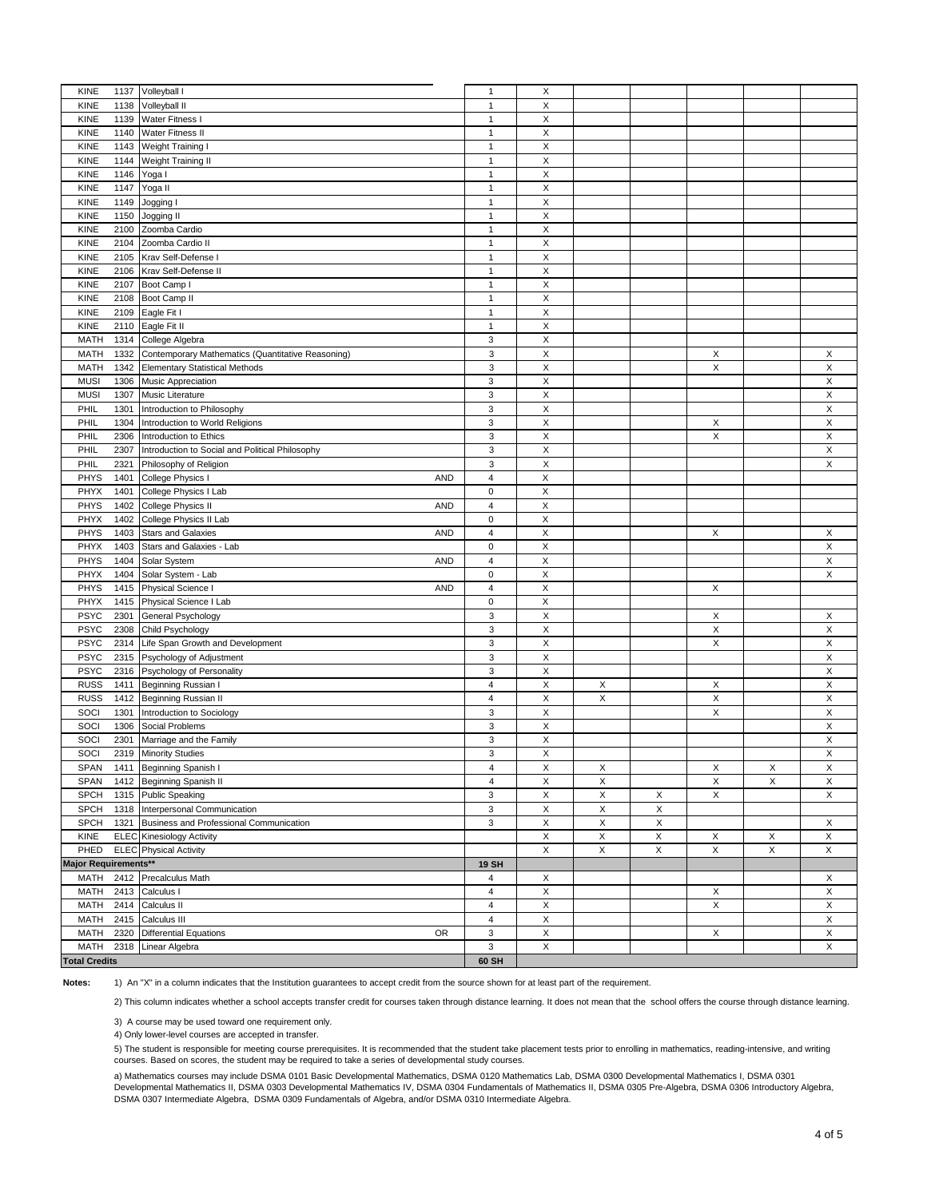| KINE                 | 1137 Volleyball I                                 | $\mathbf{1}$   | Х                         |             |             |                           |             |             |
|----------------------|---------------------------------------------------|----------------|---------------------------|-------------|-------------|---------------------------|-------------|-------------|
| <b>KINE</b><br>1138  | Volleyball II                                     | $\mathbf{1}$   | Χ                         |             |             |                           |             |             |
| KINE<br>1139         | Water Fitness I                                   | $\mathbf{1}$   | X                         |             |             |                           |             |             |
|                      |                                                   |                |                           |             |             |                           |             |             |
| 1140<br><b>KINE</b>  | Water Fitness II                                  | $\mathbf{1}$   | $\mathsf X$               |             |             |                           |             |             |
| <b>KINE</b><br>1143  | Weight Training I                                 | $\mathbf{1}$   | X                         |             |             |                           |             |             |
| 1144<br><b>KINE</b>  | Weight Training II                                | $\mathbf{1}$   | X                         |             |             |                           |             |             |
|                      |                                                   |                |                           |             |             |                           |             |             |
| <b>KINE</b><br>1146  | Yoga I                                            | $\mathbf{1}$   | X                         |             |             |                           |             |             |
| KINE<br>1147         | Yoga II                                           | $\mathbf{1}$   | X                         |             |             |                           |             |             |
| <b>KINE</b><br>1149  |                                                   | $\mathbf{1}$   | X                         |             |             |                           |             |             |
|                      | Jogging I                                         |                |                           |             |             |                           |             |             |
| KINE<br>1150         | Jogging II                                        | $\mathbf{1}$   | X                         |             |             |                           |             |             |
| KINE<br>2100         | Zoomba Cardio                                     | $\mathbf{1}$   | X                         |             |             |                           |             |             |
| KINE<br>2104         | Zoomba Cardio II                                  | $\mathbf{1}$   | X                         |             |             |                           |             |             |
|                      |                                                   |                |                           |             |             |                           |             |             |
| KINE<br>2105         | Krav Self-Defense I                               | $\mathbf{1}$   | X                         |             |             |                           |             |             |
| <b>KINE</b><br>2106  | Krav Self-Defense II                              | $\mathbf{1}$   | X                         |             |             |                           |             |             |
| <b>KINE</b><br>2107  | Boot Camp I                                       | $\mathbf{1}$   | X                         |             |             |                           |             |             |
|                      |                                                   |                |                           |             |             |                           |             |             |
| KINE<br>2108         | Boot Camp II                                      | $\mathbf{1}$   | X                         |             |             |                           |             |             |
| KINE<br>2109         | Eagle Fit I                                       | $\mathbf{1}$   | X                         |             |             |                           |             |             |
| <b>KINE</b>          | 2110 Eagle Fit II                                 | $\mathbf{1}$   | X                         |             |             |                           |             |             |
| <b>MATH</b>          |                                                   | 3              | X                         |             |             |                           |             |             |
| 1314                 | College Algebra                                   |                |                           |             |             |                           |             |             |
| <b>MATH</b><br>1332  | Contemporary Mathematics (Quantitative Reasoning) | 3              | X                         |             |             | X                         |             | X           |
| <b>MATH</b><br>1342  | <b>Elementary Statistical Methods</b>             | 3              | X                         |             |             | $\mathsf X$               |             | Χ           |
| <b>MUSI</b><br>1306  | Music Appreciation                                | 3              | X                         |             |             |                           |             | X           |
|                      |                                                   |                |                           |             |             |                           |             |             |
| <b>MUSI</b><br>1307  | Music Literature                                  | 3              | Χ                         |             |             |                           |             | X           |
| PHIL<br>1301         | Introduction to Philosophy                        | 3              | X                         |             |             |                           |             | X           |
| PHIL<br>1304         | Introduction to World Religions                   | 3              | Χ                         |             |             | Х                         |             | X           |
|                      |                                                   |                |                           |             |             |                           |             |             |
| PHIL<br>2306         | Introduction to Ethics                            | $\mathsf 3$    | Χ                         |             |             | X                         |             | Χ           |
| PHIL<br>2307         | Introduction to Social and Political Philosophy   | $\mathsf 3$    | X                         |             |             |                           |             | Χ           |
| PHIL<br>2321         | Philosophy of Religion                            | $\mathsf 3$    | Χ                         |             |             |                           |             | X           |
|                      |                                                   |                |                           |             |             |                           |             |             |
| PHYS<br>1401         | College Physics I<br><b>AND</b>                   | $\overline{4}$ | $\boldsymbol{\mathsf{X}}$ |             |             |                           |             |             |
| PHYX<br>1401         | College Physics I Lab                             | $\pmb{0}$      | Χ                         |             |             |                           |             |             |
| PHYS<br>1402         | College Physics II<br><b>AND</b>                  | $\overline{4}$ | $\boldsymbol{\mathsf{X}}$ |             |             |                           |             |             |
|                      |                                                   |                |                           |             |             |                           |             |             |
| PHYX<br>1402         | College Physics II Lab                            | $\mathsf 0$    | $\boldsymbol{\mathsf{X}}$ |             |             |                           |             |             |
| PHYS<br>1403         | <b>AND</b><br><b>Stars and Galaxies</b>           | $\overline{4}$ | $\times$                  |             |             | X                         |             | X           |
| PHYX<br>1403         | Stars and Galaxies - Lab                          | $\mathsf 0$    | X                         |             |             |                           |             | X           |
|                      |                                                   |                |                           |             |             |                           |             |             |
| PHYS<br>1404         | Solar System<br><b>AND</b>                        | $\overline{4}$ | Χ                         |             |             |                           |             | Χ           |
| PHYX<br>1404         | Solar System - Lab                                | $\pmb{0}$      | Χ                         |             |             |                           |             | X           |
| PHYS<br>1415         | Physical Science I<br><b>AND</b>                  | 4              | X                         |             |             | X                         |             |             |
|                      |                                                   |                |                           |             |             |                           |             |             |
| PHYX<br>1415         | Physical Science I Lab                            | $\pmb{0}$      | $\boldsymbol{\mathsf{X}}$ |             |             |                           |             |             |
| <b>PSYC</b><br>2301  | General Psychology                                | $\mathsf 3$    | X                         |             |             | X                         |             | X           |
| <b>PSYC</b><br>2308  | Child Psychology                                  | $\mathsf 3$    | X                         |             |             | X                         |             | X           |
|                      |                                                   |                |                           |             |             |                           |             |             |
| <b>PSYC</b><br>2314  | Life Span Growth and Development                  | 3              | X                         |             |             | X                         |             | X           |
| <b>PSYC</b><br>2315  | Psychology of Adjustment                          | 3              | X                         |             |             |                           |             | X           |
| <b>PSYC</b>          | 2316 Psychology of Personality                    | $_{\rm 3}$     | $\times$                  |             |             |                           |             | X           |
| <b>RUSS</b>          |                                                   | $\overline{4}$ | $\mathsf X$               | X           |             | X                         |             | Χ           |
| 1411                 | Beginning Russian I                               |                |                           |             |             |                           |             |             |
| <b>RUSS</b><br>1412  | Beginning Russian II                              | $\overline{4}$ | X                         | X           |             | X                         |             | X           |
| SOCI<br>1301         | Introduction to Sociology                         | $\mathsf 3$    | $\mathsf X$               |             |             | X                         |             | Χ           |
| SOCI<br>1306         | <b>Social Problems</b>                            | $_{\rm 3}$     | Χ                         |             |             |                           |             | X           |
|                      |                                                   |                |                           |             |             |                           |             |             |
| SOCI<br>2301         | Marriage and the Family                           | 3              | X                         |             |             |                           |             | X           |
| SOCI                 | 2319 Minority Studies                             | 3              | X                         |             |             |                           |             | X           |
| SPAN<br>1411         | Beginning Spanish I                               | 4              | X                         | X           |             | Х                         | X           | X           |
|                      |                                                   |                |                           |             |             |                           |             |             |
| SPAN<br>1412         | Beginning Spanish II                              | $\sqrt{4}$     | X                         | $\mathsf X$ |             | X                         | $\mathsf X$ | X           |
| <b>SPCH</b><br>1315  | <b>Public Speaking</b>                            | 3              | $\mathsf X$               | $\mathsf X$ | X           | $\boldsymbol{\mathsf{X}}$ |             | X           |
| <b>SPCH</b><br>1318  | Interpersonal Communication                       | 3              | X                         | X           | Χ           |                           |             |             |
|                      |                                                   |                |                           | X           |             |                           |             |             |
| <b>SPCH</b><br>1321  | Business and Professional Communication           | 3              | $\mathsf X$               |             | $\mathsf X$ |                           |             | X           |
| KINE                 | <b>ELEC</b> Kinesiology Activity                  |                | X                         | X           | X           | X                         | X           | X           |
| PHED                 | <b>ELEC</b> Physical Activity                     |                | X                         | $\mathsf X$ | $\mathsf X$ | $\mathsf X$               | $\mathsf X$ | Χ           |
| Major Requirements** |                                                   | <b>19 SH</b>   |                           |             |             |                           |             |             |
|                      |                                                   |                |                           |             |             |                           |             |             |
| MATH                 | 2412 Precalculus Math                             | $\overline{4}$ | X                         |             |             |                           |             | X           |
| 2413<br>MATH         | Calculus I                                        | $\overline{4}$ | X                         |             |             | X                         |             | Χ           |
| MATH<br>2414         | Calculus II                                       | 4              | X                         |             |             | X                         |             | X           |
|                      |                                                   |                |                           |             |             |                           |             |             |
| MATH<br>2415         | Calculus III                                      | $\overline{4}$ | X                         |             |             |                           |             | X           |
| MATH<br>2320         | <b>Differential Equations</b><br>OR               | 3              | $\pmb{\mathsf{X}}$        |             |             | X                         |             | X           |
| MATH                 | 2318 Linear Algebra                               | $\mathsf 3$    | $\mathsf X$               |             |             |                           |             | $\mathsf X$ |
|                      |                                                   |                |                           |             |             |                           |             |             |
| <b>Total Credits</b> |                                                   | 60 SH          |                           |             |             |                           |             |             |

**Notes:** 1) An "X" in a column indicates that the Institution guarantees to accept credit from the source shown for at least part of the requirement.

2) This column indicates whether a school accepts transfer credit for courses taken through distance learning. It does not mean that the school offers the course through distance learning.

3) A course may be used toward one requirement only.

4) Only lower-level courses are accepted in transfer.

5) The student is responsible for meeting course prerequisites. It is recommended that the student take placement tests prior to enrolling in mathematics, reading-intensive, and writing courses. Based on scores, the student may be required to take a series of developmental study courses.

a) Mathematics courses may include DSMA 0101 Basic Developmental Mathematics, DSMA 0120 Mathematics Lab, DSMA 0300 Developmental Mathematics I, DSMA 0301 Developmental Mathematics II, DSMA 0303 Developmental Mathematics IV, DSMA 0304 Fundamentals of Mathematics II, DSMA 0305 Pre-Algebra, DSMA 0306 Introductory Algebra,<br>DSMA 0307 Intermediate Algebra, DSMA 0309 Fundamentals